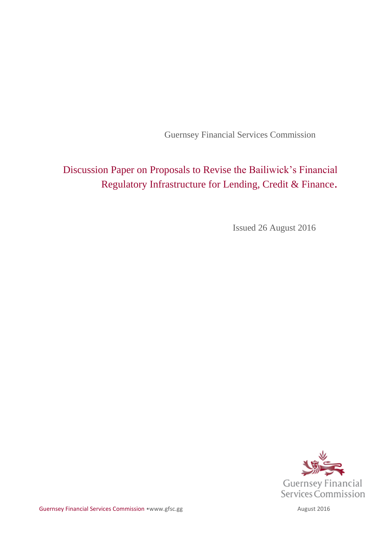Guernsey Financial Services Commission

# Discussion Paper on Proposals to Revise the Bailiwick's Financial Regulatory Infrastructure for Lending, Credit & Finance.

Issued 26 August 2016

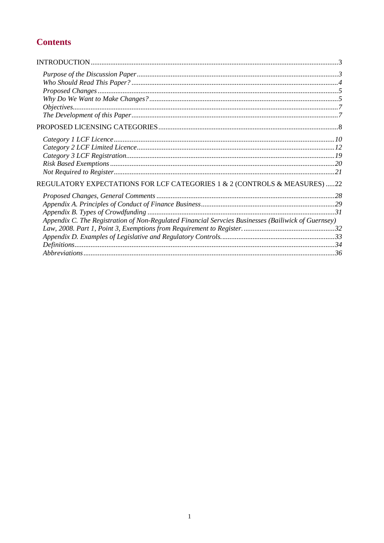## **Contents**

| REGULATORY EXPECTATIONS FOR LCF CATEGORIES 1 & 2 (CONTROLS & MEASURES) 22                           |  |
|-----------------------------------------------------------------------------------------------------|--|
|                                                                                                     |  |
|                                                                                                     |  |
|                                                                                                     |  |
| Appendix C. The Registration of Non-Regulated Financial Servcies Businesses (Bailiwick of Guernsey) |  |
|                                                                                                     |  |
|                                                                                                     |  |
|                                                                                                     |  |
|                                                                                                     |  |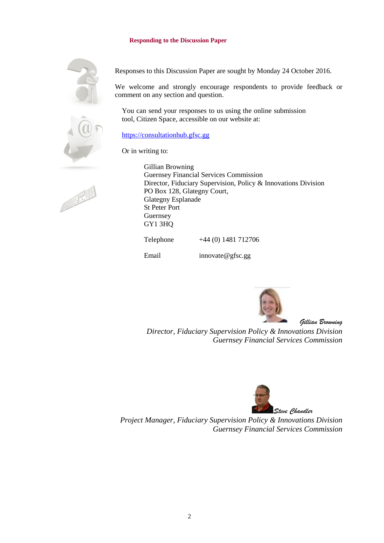#### **Responding to the Discussion Paper**





Responses to this Discussion Paper are sought by Monday 24 October 2016.

We welcome and strongly encourage respondents to provide feedback or comment on any section and question.

You can send your responses to us using the online submission tool, Citizen Space, accessible on our website at:

#### [https://consultationhub.gfsc.gg](https://consultationhub.gfsc.gg/)

Or in writing to:

Gillian Browning Guernsey Financial Services Commission Director, Fiduciary Supervision, Policy & Innovations Division PO Box 128, Glategny Court, Glategny Esplanade St Peter Port Guernsey GY1 3HQ

Telephone +44 (0) 1481 712706

Email [innovate@gfsc.gg](mailto:innovate@gfsc.gg)



*Gillian Browning* 

*Director, Fiduciary Supervision Policy & Innovations Division Guernsey Financial Services Commission*



*Project Manager, Fiduciary Supervision Policy & Innovations Division Guernsey Financial Services Commission*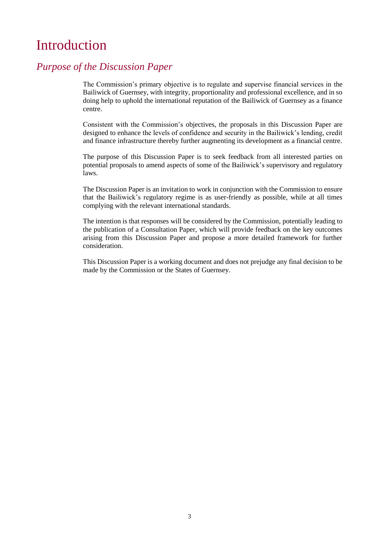# <span id="page-3-0"></span>Introduction

### <span id="page-3-1"></span>*Purpose of the Discussion Paper*

The Commission's primary objective is to regulate and supervise financial services in the Bailiwick of Guernsey, with integrity, proportionality and professional excellence, and in so doing help to uphold the international reputation of the Bailiwick of Guernsey as a finance centre.

Consistent with the Commission's objectives, the proposals in this Discussion Paper are designed to enhance the levels of confidence and security in the Bailiwick's lending, credit and finance infrastructure thereby further augmenting its development as a financial centre.

The purpose of this Discussion Paper is to seek feedback from all interested parties on potential proposals to amend aspects of some of the Bailiwick's supervisory and regulatory laws.

The Discussion Paper is an invitation to work in conjunction with the Commission to ensure that the Bailiwick's regulatory regime is as user-friendly as possible, while at all times complying with the relevant international standards.

The intention is that responses will be considered by the Commission, potentially leading to the publication of a Consultation Paper, which will provide feedback on the key outcomes arising from this Discussion Paper and propose a more detailed framework for further consideration.

This Discussion Paper is a working document and does not prejudge any final decision to be made by the Commission or the States of Guernsey.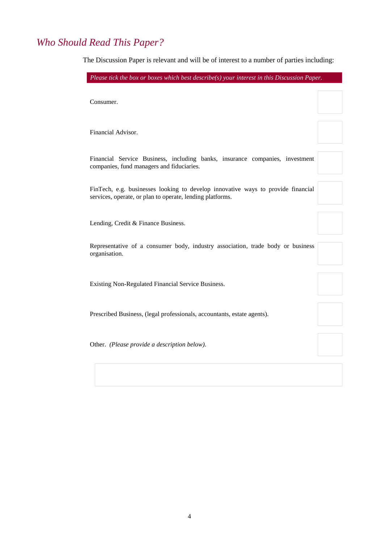### <span id="page-4-0"></span>*Who Should Read This Paper?*

The Discussion Paper is relevant and will be of interest to a number of parties including:

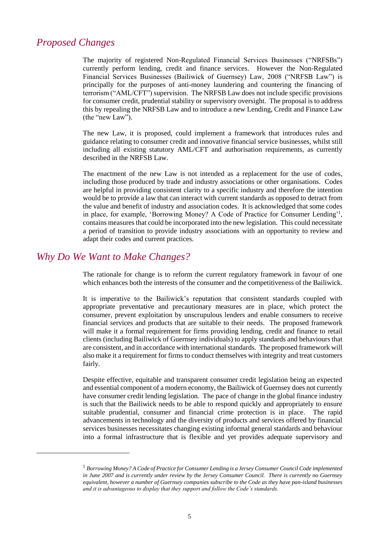### <span id="page-5-0"></span>*Proposed Changes*

The majority of registered Non-Regulated Financial Services Businesses ("NRFSBs") currently perform lending, credit and finance services. However the Non-Regulated Financial Services Businesses (Bailiwick of Guernsey) Law, 2008 ("NRFSB Law") is principally for the purposes of anti-money laundering and countering the financing of terrorism ("AML/CFT") supervision. The NRFSB Law does not include specific provisions for consumer credit, prudential stability or supervisory oversight. The proposal is to address this by repealing the NRFSB Law and to introduce a new Lending, Credit and Finance Law (the "new Law").

The new Law, it is proposed, could implement a framework that introduces rules and guidance relating to consumer credit and innovative financial service businesses, whilst still including all existing statutory AML/CFT and authorisation requirements, as currently described in the NRFSB Law.

The enactment of the new Law is not intended as a replacement for the use of codes, including those produced by trade and industry associations or other organisations. Codes are helpful in providing consistent clarity to a specific industry and therefore the intention would be to provide a law that can interact with current standards as opposed to detract from the value and benefit of industry and association codes. It is acknowledged that some codes in place, for example, 'Borrowing Money? A Code of Practice for Consumer Lending'<sup>1</sup>, contains measures that could be incorporated into the new legislation. This could necessitate a period of transition to provide industry associations with an opportunity to review and adapt their codes and current practices.

### <span id="page-5-1"></span>*Why Do We Want to Make Changes?*

-

The rationale for change is to reform the current regulatory framework in favour of one which enhances both the interests of the consumer and the competitiveness of the Bailiwick.

It is imperative to the Bailiwick's reputation that consistent standards coupled with appropriate preventative and precautionary measures are in place, which protect the consumer, prevent exploitation by unscrupulous lenders and enable consumers to receive financial services and products that are suitable to their needs. The proposed framework will make it a formal requirement for firms providing lending, credit and finance to retail clients (including Bailiwick of Guernsey individuals) to apply standards and behaviours that are consistent, and in accordance with international standards. The proposed framework will also make it a requirement for firms to conduct themselves with integrity and treat customers fairly.

Despite effective, equitable and transparent consumer credit legislation being an expected and essential component of a modern economy, the Bailiwick of Guernsey does not currently have consumer credit lending legislation. The pace of change in the global finance industry is such that the Bailiwick needs to be able to respond quickly and appropriately to ensure suitable prudential, consumer and financial crime protection is in place. The rapid advancements in technology and the diversity of products and services offered by financial services businesses necessitates changing existing informal general standards and behaviour into a formal infrastructure that is flexible and yet provides adequate supervisory and

<sup>1</sup> *Borrowing Money? A Code of Practice for Consumer Lending is a Jersey Consumer Council Code implemented in June 2007 and is currently under review by the Jersey Consumer Council. There is currently no Guernsey equivalent, however a number of Guernsey companies subscribe to the Code as they have pan-island businesses and it is advantageous to display that they support and follow the Code's standards.*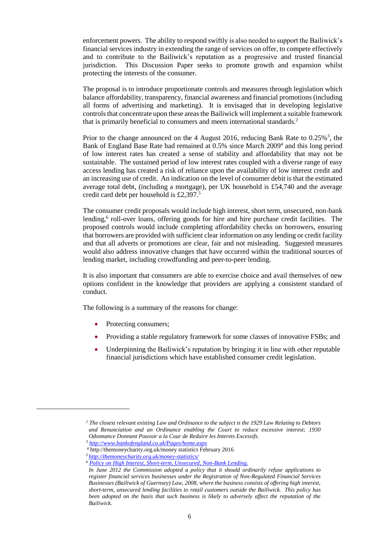enforcement powers. The ability to respond swiftly is also needed to support the Bailiwick's financial services industry in extending the range of services on offer, to compete effectively and to contribute to the Bailiwick's reputation as a progressive and trusted financial jurisdiction. This Discussion Paper seeks to promote growth and expansion whilst protecting the interests of the consumer.

The proposal is to introduce proportionate controls and measures through legislation which balance affordability, transparency, financial awareness and financial promotions (including all forms of advertising and marketing). It is envisaged that in developing legislative controls that concentrate upon these areas the Bailiwick will implement a suitable framework that is primarily beneficial to consumers and meets international standards.<sup>2</sup>

Prior to the change announced on the 4 August 2016, reducing Bank Rate to 0.25%<sup>3</sup>, the Bank of England Base Rate had remained at 0.5% since March 2009<sup>4</sup> and this long period of low interest rates has created a sense of stability and affordability that may not be sustainable. The sustained period of low interest rates coupled with a diverse range of easy access lending has created a risk of reliance upon the availability of low interest credit and an increasing use of credit. An indication on the level of consumer debit is that the estimated average total debt, (including a mortgage), per UK household is £54,740 and the average credit card debt per household is £2,397.<sup>5</sup>

The consumer credit proposals would include high interest, short term, unsecured, non-bank lending,<sup>6</sup> roll-over loans, offering goods for hire and hire purchase credit facilities. The proposed controls would include completing affordability checks on borrowers, ensuring that borrowers are provided with sufficient clear information on any lending or credit facility and that all adverts or promotions are clear, fair and not misleading. Suggested measures would also address innovative changes that have occurred within the traditional sources of lending market, including crowdfunding and peer-to-peer lending.

It is also important that consumers are able to exercise choice and avail themselves of new options confident in the knowledge that providers are applying a consistent standard of conduct.

The following is a summary of the reasons for change:

• Protecting consumers;

-

- Providing a stable regulatory framework for some classes of innovative FSBs; and
- Underpinning the Bailiwick's reputation by bringing it in line with other reputable financial jurisdictions which have established consumer credit legislation.

*<sup>2</sup> The closest relevant existing Law and Ordinance to the subject is the 1929 Law Relating to Debtors and Renunciation and an Ordinance enabling the Court to reduce excessive interest; 1930 Odonnance Donnant Pouvoir a la Cour de Reduire les Interets Excessifs.*

*<sup>3</sup> <http://www.bankofengland.co.uk/Pages/home.aspx>*

<sup>4</sup> [http://themoneycharity.org.uk/money statistics February 2016](http://themoneycharity.org.uk/money%20statistics%20February%202016)

*<sup>5</sup> <http://themoneycharity.org.uk/money-statistics/>*

*<sup>6</sup> [Policy on High Interest, Short-term, Unsecured, Non-Bank Lending.](http://www.gfsc.gg/The-Commission/News/Pages/Policy.aspx)*

*In June 2012 the Commission adopted a policy that it should ordinarily refuse applications to register financial services businesses under the Registration of Non-Regulated Financial Services Businesses (Bailiwick of Guernsey) Law, 2008, where the business consists of offering high interest, short-term, unsecured lending facilities to retail customers outside the Bailiwick. This policy has been adopted on the basis that such business is likely to adversely affect the reputation of the Bailiwick.*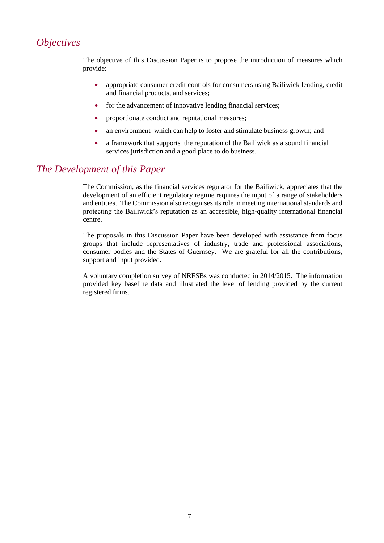## <span id="page-7-0"></span>*Objectives*

The objective of this Discussion Paper is to propose the introduction of measures which provide:

- appropriate consumer credit controls for consumers using Bailiwick lending, credit and financial products, and services;
- for the advancement of innovative lending financial services;
- proportionate conduct and reputational measures;
- an environment which can help to foster and stimulate business growth; and
- a framework that supports the reputation of the Bailiwick as a sound financial services jurisdiction and a good place to do business.

### <span id="page-7-1"></span>*The Development of this Paper*

The Commission, as the financial services regulator for the Bailiwick, appreciates that the development of an efficient regulatory regime requires the input of a range of stakeholders and entities. The Commission also recognises its role in meeting international standards and protecting the Bailiwick's reputation as an accessible, high-quality international financial centre.

The proposals in this Discussion Paper have been developed with assistance from focus groups that include representatives of industry, trade and professional associations, consumer bodies and the States of Guernsey. We are grateful for all the contributions, support and input provided.

A voluntary completion survey of NRFSBs was conducted in 2014/2015. The information provided key baseline data and illustrated the level of lending provided by the current registered firms.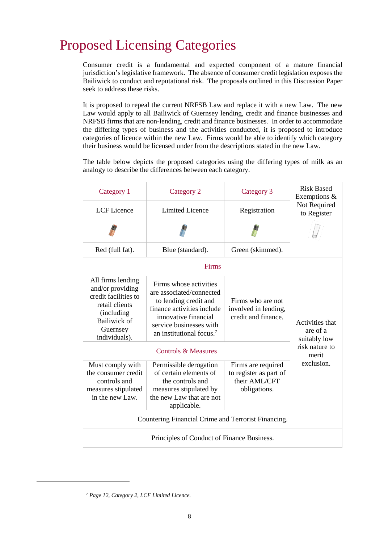# <span id="page-8-0"></span>Proposed Licensing Categories

Consumer credit is a fundamental and expected component of a mature financial jurisdiction's legislative framework. The absence of consumer credit legislation exposes the Bailiwick to conduct and reputational risk. The proposals outlined in this Discussion Paper seek to address these risks.

It is proposed to repeal the current NRFSB Law and replace it with a new Law. The new Law would apply to all Bailiwick of Guernsey lending, credit and finance businesses and NRFSB firms that are non-lending, credit and finance businesses. In order to accommodate the differing types of business and the activities conducted, it is proposed to introduce categories of licence within the new Law. Firms would be able to identify which category their business would be licensed under from the descriptions stated in the new Law.

The table below depicts the proposed categories using the differing types of milk as an analogy to describe the differences between each category.

| Category 1                                                                                                                                         | Category 2                                                                                                                                                                                           | Category 3                                                                    | <b>Risk Based</b><br>Exemptions &           |  |  |
|----------------------------------------------------------------------------------------------------------------------------------------------------|------------------------------------------------------------------------------------------------------------------------------------------------------------------------------------------------------|-------------------------------------------------------------------------------|---------------------------------------------|--|--|
| <b>LCF</b> Licence                                                                                                                                 | Limited Licence                                                                                                                                                                                      | Registration                                                                  | Not Required<br>to Register                 |  |  |
|                                                                                                                                                    |                                                                                                                                                                                                      |                                                                               |                                             |  |  |
| Red (full fat).                                                                                                                                    | Blue (standard).                                                                                                                                                                                     | Green (skimmed).                                                              |                                             |  |  |
|                                                                                                                                                    | Firms                                                                                                                                                                                                |                                                                               |                                             |  |  |
| All firms lending<br>and/or providing<br>credit facilities to<br>retail clients<br>(including)<br><b>Bailiwick of</b><br>Guernsey<br>individuals). | Firms whose activities<br>are associated/connected<br>to lending credit and<br>finance activities include<br>innovative financial<br>service businesses with<br>an institutional focus. <sup>7</sup> | Firms who are not<br>involved in lending,<br>credit and finance.              | Activities that<br>are of a<br>suitably low |  |  |
| risk nature to<br><b>Controls &amp; Measures</b><br>merit                                                                                          |                                                                                                                                                                                                      |                                                                               |                                             |  |  |
| Must comply with<br>the consumer credit<br>controls and<br>measures stipulated<br>in the new Law.                                                  | Permissible derogation<br>of certain elements of<br>the controls and<br>measures stipulated by<br>the new Law that are not<br>applicable.                                                            | Firms are required<br>to register as part of<br>their AML/CFT<br>obligations. | exclusion.                                  |  |  |
| Countering Financial Crime and Terrorist Financing.                                                                                                |                                                                                                                                                                                                      |                                                                               |                                             |  |  |
| Principles of Conduct of Finance Business.                                                                                                         |                                                                                                                                                                                                      |                                                                               |                                             |  |  |

1

*<sup>7</sup> Page 12, Category 2, LCF Limited Licence.*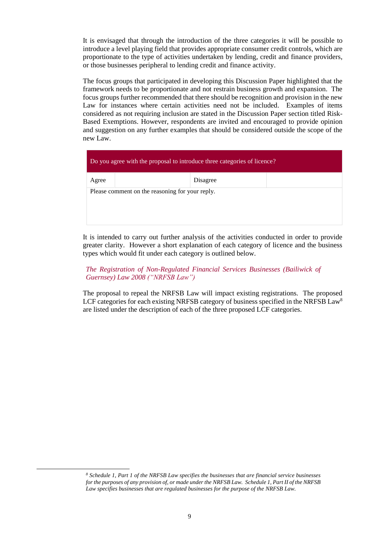It is envisaged that through the introduction of the three categories it will be possible to introduce a level playing field that provides appropriate consumer credit controls, which are proportionate to the type of activities undertaken by lending, credit and finance providers, or those businesses peripheral to lending credit and finance activity.

The focus groups that participated in developing this Discussion Paper highlighted that the framework needs to be proportionate and not restrain business growth and expansion. The focus groups further recommended that there should be recognition and provision in the new Law for instances where certain activities need not be included. Examples of items considered as not requiring inclusion are stated in the Discussion Paper section titled Risk-Based Exemptions. However, respondents are invited and encouraged to provide opinion and suggestion on any further examples that should be considered outside the scope of the new Law.

| Do you agree with the proposal to introduce three categories of licence? |                                                 |  |  |
|--------------------------------------------------------------------------|-------------------------------------------------|--|--|
| Agree                                                                    | Disagree                                        |  |  |
|                                                                          | Please comment on the reasoning for your reply. |  |  |

It is intended to carry out further analysis of the activities conducted in order to provide greater clarity. However a short explanation of each category of licence and the business types which would fit under each category is outlined below.

#### *The Registration of Non-Regulated Financial Services Businesses (Bailiwick of Guernsey) Law 2008 ("NRFSB Law")*

The proposal to repeal the NRFSB Law will impact existing registrations. The proposed LCF categories for each existing NRFSB category of business specified in the NRFSB Law<sup>8</sup> are listed under the description of each of the three proposed LCF categories.

-

*<sup>8</sup> Schedule 1, Part 1 of the NRFSB Law specifies the businesses that are financial service businesses for the purposes of any provision of, or made under the NRFSB Law. Schedule 1, Part II of the NRFSB Law specifies businesses that are regulated businesses for the purpose of the NRFSB Law.*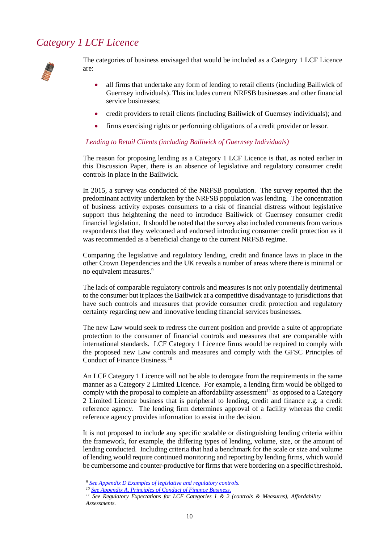# <span id="page-10-0"></span>*Category 1 LCF Licence*



-

The categories of business envisaged that would be included as a Category 1 LCF Licence are:

- all firms that undertake any form of lending to retail clients (including Bailiwick of Guernsey individuals). This includes current NRFSB businesses and other financial service businesses;
- credit providers to retail clients (including Bailiwick of Guernsey individuals); and
- firms exercising rights or performing obligations of a credit provider or lessor.

#### *Lending to Retail Clients (including Bailiwick of Guernsey Individuals)*

The reason for proposing lending as a Category 1 LCF Licence is that, as noted earlier in this Discussion Paper, there is an absence of legislative and regulatory consumer credit controls in place in the Bailiwick.

In 2015, a survey was conducted of the NRFSB population. The survey reported that the predominant activity undertaken by the NRFSB population was lending. The concentration of business activity exposes consumers to a risk of financial distress without legislative support thus heightening the need to introduce Bailiwick of Guernsey consumer credit financial legislation. It should be noted that the survey also included comments from various respondents that they welcomed and endorsed introducing consumer credit protection as it was recommended as a beneficial change to the current NRFSB regime.

Comparing the legislative and regulatory lending, credit and finance laws in place in the other Crown Dependencies and the UK reveals a number of areas where there is minimal or no equivalent measures. 9

The lack of comparable regulatory controls and measures is not only potentially detrimental to the consumer but it places the Bailiwick at a competitive disadvantage to jurisdictions that have such controls and measures that provide consumer credit protection and regulatory certainty regarding new and innovative lending financial services businesses.

The new Law would seek to redress the current position and provide a suite of appropriate protection to the consumer of financial controls and measures that are comparable with international standards. LCF Category 1 Licence firms would be required to comply with the proposed new Law controls and measures and comply with the GFSC Principles of Conduct of Finance Business. 10

An LCF Category 1 Licence will not be able to derogate from the requirements in the same manner as a Category 2 Limited Licence. For example, a lending firm would be obliged to comply with the proposal to complete an affordability assessment $^{11}$  as opposed to a Category 2 Limited Licence business that is peripheral to lending, credit and finance e.g. a credit reference agency. The lending firm determines approval of a facility whereas the credit reference agency provides information to assist in the decision.

It is not proposed to include any specific scalable or distinguishing lending criteria within the framework, for example, the differing types of lending, volume, size, or the amount of lending conducted. Including criteria that had a benchmark for the scale or size and volume of lending would require continued monitoring and reporting by lending firms, which would be cumbersome and counter-productive for firms that were bordering on a specific threshold.

*<sup>9</sup> [See Appendix D Examples of legislative and regulatory controls.](#page-33-0)*

*<sup>10</sup> [See Appendix A, Principles of Conduct of Finance Business.](#page-29-0)*

*<sup>11</sup> See Regulatory Expectations for LCF Categories 1 & 2 (controls & Measures), Affordability Assessments.*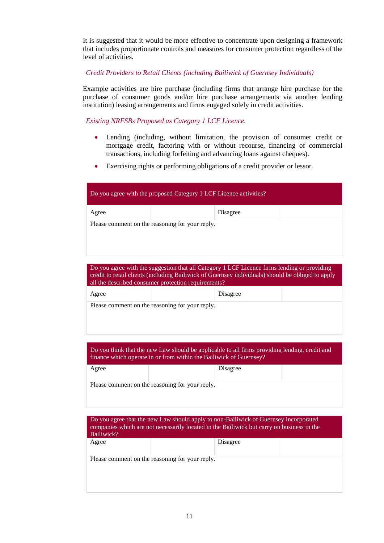It is suggested that it would be more effective to concentrate upon designing a framework that includes proportionate controls and measures for consumer protection regardless of the level of activities.

#### *Credit Providers to Retail Clients (including Bailiwick of Guernsey Individuals)*

Example activities are hire purchase (including firms that arrange hire purchase for the purchase of consumer goods and/or hire purchase arrangements via another lending institution) leasing arrangements and firms engaged solely in credit activities.

#### *Existing NRFSBs Proposed as Category 1 LCF Licence.*

- Lending (including, without limitation, the provision of consumer credit or mortgage credit, factoring with or without recourse, financing of commercial transactions, including forfeiting and advancing loans against cheques).
- Exercising rights or performing obligations of a credit provider or lessor.

| Do you agree with the proposed Category 1 LCF Licence activities?                                                                                                                                                                                       |                                                 |  |  |  |
|---------------------------------------------------------------------------------------------------------------------------------------------------------------------------------------------------------------------------------------------------------|-------------------------------------------------|--|--|--|
| Agree                                                                                                                                                                                                                                                   | Disagree                                        |  |  |  |
|                                                                                                                                                                                                                                                         | Please comment on the reasoning for your reply. |  |  |  |
| Do you agree with the suggestion that all Category 1 LCF Licence firms lending or providing<br>credit to retail clients (including Bailiwick of Guernsey individuals) should be obliged to apply<br>all the described consumer protection requirements? |                                                 |  |  |  |
| Agree                                                                                                                                                                                                                                                   | Disagree                                        |  |  |  |

Please comment on the reasoning for your reply.

Do you think that the new Law should be applicable to all firms providing lending, credit and finance which operate in or from within the Bailiwick of Guernsey?

| Agree                                           |  | Disagree |  |  |
|-------------------------------------------------|--|----------|--|--|
| Please comment on the reasoning for your reply. |  |          |  |  |

Do you agree that the new Law should apply to non-Bailiwick of Guernsey incorporated companies which are not necessarily located in the Bailiwick but carry on business in the Bailiwick?

| Agree  |  |  |  | Disagree |  |
|--------|--|--|--|----------|--|
| $\sim$ |  |  |  |          |  |

Please comment on the reasoning for your reply.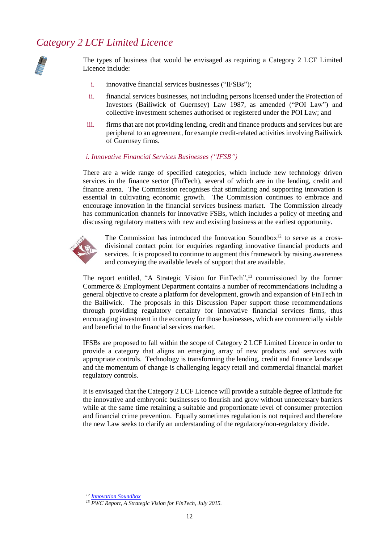## <span id="page-12-0"></span>*Category 2 LCF Limited Licence*



The types of business that would be envisaged as requiring a Category 2 LCF Limited Licence include:

- i. innovative financial services businesses ("IFSBs");
- ii. financial services businesses, not including persons licensed under the Protection of Investors (Bailiwick of Guernsey) Law 1987, as amended ("POI Law") and collective investment schemes authorised or registered under the POI Law; and
- iii. firms that are not providing lending, credit and finance products and services but are peripheral to an agreement, for example credit-related activities involving Bailiwick of Guernsey firms.

#### *i. Innovative Financial Services Businesses ("IFSB")*

There are a wide range of specified categories, which include new technology driven services in the finance sector (FinTech), several of which are in the lending, credit and finance arena. The Commission recognises that stimulating and supporting innovation is essential in cultivating economic growth. The Commission continues to embrace and encourage innovation in the financial services business market. The Commission already has communication channels for innovative FSBs, which includes a policy of meeting and discussing regulatory matters with new and existing business at the earliest opportunity.



The Commission has introduced the Innovation Soundbox<sup>12</sup> to serve as a crossdivisional contact point for enquiries regarding innovative financial products and services. It is proposed to continue to augment this framework by raising awareness and conveying the available levels of support that are available.

The report entitled, "A Strategic Vision for FinTech", <sup>13</sup> commissioned by the former Commerce & Employment Department contains a number of recommendations including a general objective to create a platform for development, growth and expansion of FinTech in the Bailiwick. The proposals in this Discussion Paper support those recommendations through providing regulatory certainty for innovative financial services firms, thus encouraging investment in the economy for those businesses, which are commercially viable and beneficial to the financial services market.

IFSBs are proposed to fall within the scope of Category 2 LCF Limited Licence in order to provide a category that aligns an emerging array of new products and services with appropriate controls. Technology is transforming the lending, credit and finance landscape and the momentum of change is challenging legacy retail and commercial financial market regulatory controls.

It is envisaged that the Category 2 LCF Licence will provide a suitable degree of latitude for the innovative and embryonic businesses to flourish and grow without unnecessary barriers while at the same time retaining a suitable and proportionate level of consumer protection and financial crime prevention. Equally sometimes regulation is not required and therefore the new Law seeks to clarify an understanding of the regulatory/non-regulatory divide.

-

*<sup>12</sup> [Innovation Soundbox](http://www.gfsc.gg/Fiduciary/Pages/Innovation.aspx)*

*<sup>13</sup> PWC Report, A Strategic Vision for FinTech, July 2015.*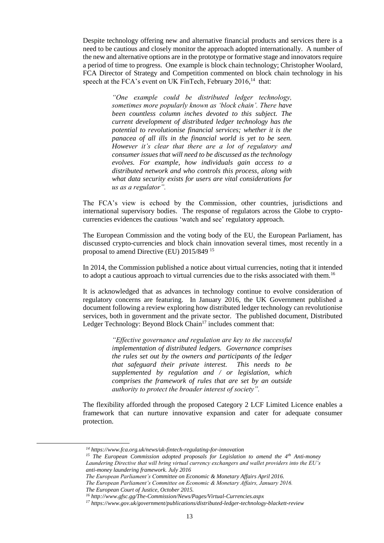Despite technology offering new and alternative financial products and services there is a need to be cautious and closely monitor the approach adopted internationally. A number of the new and alternative options are in the prototype or formative stage and innovators require a period of time to progress. One example is block chain technology; Christopher Woolard, FCA Director of Strategy and Competition commented on block chain technology in his speech at the FCA's event on UK FinTech, February 2016,<sup>14</sup> that:

> *"One example could be distributed ledger technology, sometimes more popularly known as 'block chain'. There have been countless column inches devoted to this subject. The current development of distributed ledger technology has the potential to revolutionise financial services; whether it is the panacea of all ills in the financial world is yet to be seen. However it's clear that there are a lot of regulatory and consumer issues that will need to be discussed as the technology evolves. For example, how individuals gain access to a distributed network and who controls this process, along with what data security exists for users are vital considerations for us as a regulator".*

The FCA's view is echoed by the Commission, other countries, jurisdictions and international supervisory bodies. The response of regulators across the Globe to cryptocurrencies evidences the cautious 'watch and see' regulatory approach.

The European Commission and the voting body of the EU, the European Parliament, has discussed crypto-currencies and block chain innovation several times, most recently in a proposal to amend Directive (EU) 2015/849 <sup>15</sup>

In 2014, the Commission published a notice about virtual currencies, noting that it intended to adopt a cautious approach to virtual currencies due to the risks associated with them.<sup>16</sup>

It is acknowledged that as advances in technology continue to evolve consideration of regulatory concerns are featuring. In January 2016, the UK Government published a document following a review exploring how distributed ledger technology can revolutionise services, both in government and the private sector. The published document, Distributed Ledger Technology: Beyond Block Chain<sup>17</sup> includes comment that:

> *"Effective governance and regulation are key to the successful implementation of distributed ledgers. Governance comprises the rules set out by the owners and participants of the ledger that safeguard their private interest. This needs to be supplemented by regulation and / or legislation, which comprises the framework of rules that are set by an outside authority to protect the broader interest of society".*

The flexibility afforded through the proposed Category 2 LCF Limited Licence enables a framework that can nurture innovative expansion and cater for adequate consumer protection.

*The European Parliament's Committee on Economic & Monetary Affairs April 2016.*

 $\overline{a}$ 

*<sup>14</sup> https://www.fca.org.uk/news/uk-fintech-regulating-for-innovation*

*<sup>15</sup> The European Commission adopted proposals for Legislation to amend the 4th Anti-money Laundering Directive that will bring virtual currency exchangers and wallet providers into the EU's anti-money laundering framework. July 2016*

*The European Parliament's Committee on Economic & Monetary Affairs, January 2016.*

*The European Court of Justice, October 2015.*

*<sup>16</sup> http://www.gfsc.gg/The-Commission/News/Pages/Virtual-Currencies.aspx*

*<sup>17</sup> https://www.gov.uk/government/publications/distributed-ledger-technology-blackett-review*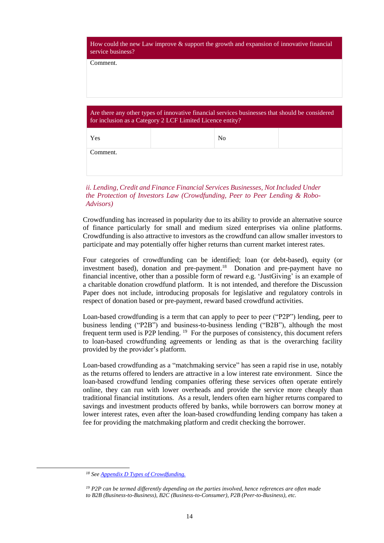| How could the new Law improve $\&$ support the growth and expansion of innovative financial<br>service business?                                             |                                           |                |  |
|--------------------------------------------------------------------------------------------------------------------------------------------------------------|-------------------------------------------|----------------|--|
| Comment.                                                                                                                                                     |                                           |                |  |
|                                                                                                                                                              |                                           |                |  |
|                                                                                                                                                              |                                           |                |  |
| Are there any other types of innovative financial services businesses that should be considered<br>for inclusion as a Category 2 LCF Limited Licence entity? |                                           |                |  |
| Yes                                                                                                                                                          |                                           | N <sub>0</sub> |  |
| Comment.                                                                                                                                                     |                                           |                |  |
|                                                                                                                                                              |                                           |                |  |
|                                                                                                                                                              | וזורונות יום ומני הדי וחודיות ולא היה ביו |                |  |

#### *ii. Lending, Credit and Finance Financial Services Businesses, Not Included Under the Protection of Investors Law (Crowdfunding, Peer to Peer Lending & Robo-Advisors)*

Crowdfunding has increased in popularity due to its ability to provide an alternative source of finance particularly for small and medium sized enterprises via online platforms. Crowdfunding is also attractive to investors as the crowdfund can allow smaller investors to participate and may potentially offer higher returns than current market interest rates.

Four categories of crowdfunding can be identified; loan (or debt-based), equity (or investment based), donation and pre-payment. 18 Donation and pre-payment have no financial incentive, other than a possible form of reward e.g. 'JustGiving' is an example of a charitable donation crowdfund platform. It is not intended, and therefore the Discussion Paper does not include, introducing proposals for legislative and regulatory controls in respect of donation based or pre-payment, reward based crowdfund activities.

Loan-based crowdfunding is a term that can apply to peer to peer ("P2P") lending, peer to business lending ("P2B") and business-to-business lending ("B2B"), although the most frequent term used is P2P lending. <sup>19</sup> For the purposes of consistency, this document refers to loan-based crowdfunding agreements or lending as that is the overarching facility provided by the provider's platform.

Loan-based crowdfunding as a "matchmaking service" has seen a rapid rise in use, notably as the returns offered to lenders are attractive in a low interest rate environment. Since the loan-based crowdfund lending companies offering these services often operate entirely online, they can run with lower overheads and provide the service more cheaply than traditional financial institutions. As a result, lenders often earn higher returns compared to savings and investment products offered by banks, while borrowers can borrow money at lower interest rates, even after the loan-based crowdfunding lending company has taken a fee for providing the matchmaking platform and credit checking the borrower.

1

*<sup>18</sup> Se[e Appendix D Types of Crowdfunding.](#page-31-0)*

*<sup>19</sup> P2P can be termed differently depending on the parties involved, hence references are often made to B2B (Business-to-Business), B2C (Business-to-Consumer), P2B (Peer-to-Business), etc.*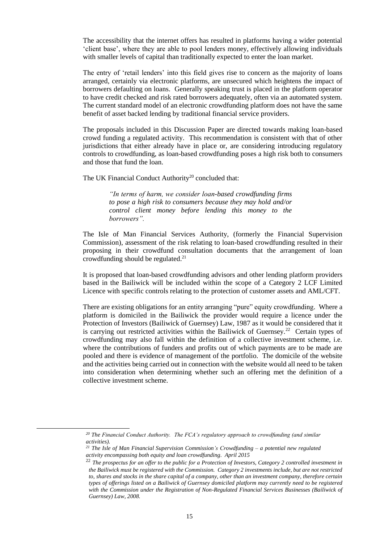The accessibility that the internet offers has resulted in platforms having a wider potential 'client base', where they are able to pool lenders money, effectively allowing individuals with smaller levels of capital than traditionally expected to enter the loan market.

The entry of 'retail lenders' into this field gives rise to concern as the majority of loans arranged, certainly via electronic platforms, are unsecured which heightens the impact of borrowers defaulting on loans. Generally speaking trust is placed in the platform operator to have credit checked and risk rated borrowers adequately, often via an automated system. The current standard model of an electronic crowdfunding platform does not have the same benefit of asset backed lending by traditional financial service providers.

The proposals included in this Discussion Paper are directed towards making loan-based crowd funding a regulated activity. This recommendation is consistent with that of other jurisdictions that either already have in place or, are considering introducing regulatory controls to crowdfunding, as loan-based crowdfunding poses a high risk both to consumers and those that fund the loan.

The UK Financial Conduct Authority<sup>20</sup> concluded that:

*"In terms of harm, we consider loan-based crowdfunding firms to pose a high risk to consumers because they may hold and/or control client money before lending this money to the borrowers".*

The Isle of Man Financial Services Authority, (formerly the Financial Supervision Commission), assessment of the risk relating to loan-based crowdfunding resulted in their proposing in their crowdfund consultation documents that the arrangement of loan crowdfunding should be regulated. 21

It is proposed that loan-based crowdfunding advisors and other lending platform providers based in the Bailiwick will be included within the scope of a Category 2 LCF Limited Licence with specific controls relating to the protection of customer assets and AML/CFT.

There are existing obligations for an entity arranging "pure" equity crowdfunding. Where a platform is domiciled in the Bailiwick the provider would require a licence under the Protection of Investors (Bailiwick of Guernsey) Law, 1987 as it would be considered that it is carrying out restricted activities within the Bailiwick of Guernsey.<sup>22</sup> Certain types of crowdfunding may also fall within the definition of a collective investment scheme, i.e. where the contributions of funders and profits out of which payments are to be made are pooled and there is evidence of management of the portfolio. The domicile of the website and the activities being carried out in connection with the website would all need to be taken into consideration when determining whether such an offering met the definition of a collective investment scheme.

1

*<sup>20</sup> The Financial Conduct Authority. The FCA's regulatory approach to crowdfunding (and similar activities).* 

*<sup>21</sup> The Isle of Man Financial Supervision Commission's Crowdfunding – a potential new regulated activity encompassing both equity and loan crowdfunding. April 2015*

<sup>22</sup> *The prospectus for an offer to the public for a Protection of Investors, Category 2 controlled investment in the Bailiwick must be registered with the Commission. Category 2 investments include, but are not restricted to, shares and stocks in the share capital of a company, other than an investment company, therefore certain types of offerings listed on a Bailiwick of Guernsey domiciled platform may currently need to be registered with the Commission under the Registration of Non-Regulated Financial Services Businesses (Bailiwick of Guernsey) Law, 2008.*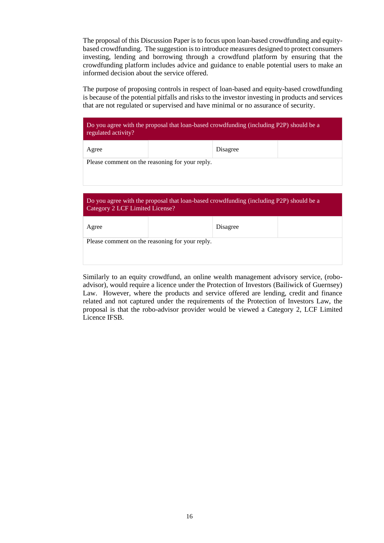The proposal of this Discussion Paper is to focus upon loan-based crowdfunding and equitybased crowdfunding. The suggestion is to introduce measures designed to protect consumers investing, lending and borrowing through a crowdfund platform by ensuring that the crowdfunding platform includes advice and guidance to enable potential users to make an informed decision about the service offered.

The purpose of proposing controls in respect of loan-based and equity-based crowdfunding is because of the potential pitfalls and risks to the investor investing in products and services that are not regulated or supervised and have minimal or no assurance of security.

| Do you agree with the proposal that loan-based crowdfunding (including P2P) should be a<br>regulated activity?             |  |          |  |  |
|----------------------------------------------------------------------------------------------------------------------------|--|----------|--|--|
| Agree                                                                                                                      |  | Disagree |  |  |
| Please comment on the reasoning for your reply.                                                                            |  |          |  |  |
| Do you agree with the proposal that loan-based crowdfunding (including P2P) should be a<br>Category 2 LCF Limited License? |  |          |  |  |
| Agree                                                                                                                      |  | Disagree |  |  |
| Please comment on the reasoning for your reply.                                                                            |  |          |  |  |

Similarly to an equity crowdfund, an online wealth management advisory service, (roboadvisor), would require a licence under the Protection of Investors (Bailiwick of Guernsey) Law. However, where the products and service offered are lending, credit and finance related and not captured under the requirements of the Protection of Investors Law, the proposal is that the robo-advisor provider would be viewed a Category 2, LCF Limited Licence IFSB.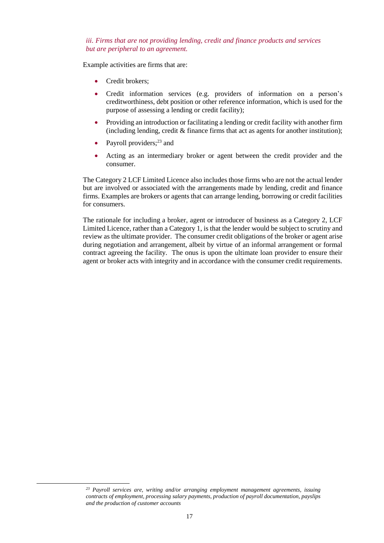#### *iii. Firms that are not providing lending, credit and finance products and services but are peripheral to an agreement.*

Example activities are firms that are:

- Credit brokers;
- Credit information services (e.g. providers of information on a person's creditworthiness, debt position or other reference information, which is used for the purpose of assessing a lending or credit facility);
- Providing an introduction or facilitating a lending or credit facility with another firm (including lending, credit  $&$  finance firms that act as agents for another institution);
- Payroll providers;<sup>23</sup> and
- Acting as an intermediary broker or agent between the credit provider and the consumer.

The Category 2 LCF Limited Licence also includes those firms who are not the actual lender but are involved or associated with the arrangements made by lending, credit and finance firms. Examples are brokers or agents that can arrange lending, borrowing or credit facilities for consumers.

The rationale for including a broker, agent or introducer of business as a Category 2, LCF Limited Licence, rather than a Category 1, is that the lender would be subject to scrutiny and review as the ultimate provider. The consumer credit obligations of the broker or agent arise during negotiation and arrangement, albeit by virtue of an informal arrangement or formal contract agreeing the facility. The onus is upon the ultimate loan provider to ensure their agent or broker acts with integrity and in accordance with the consumer credit requirements.

1

*<sup>23</sup> Payroll services are, writing and/or arranging employment management agreements, issuing contracts of employment, processing salary payments, production of payroll documentation, payslips and the production of customer accounts*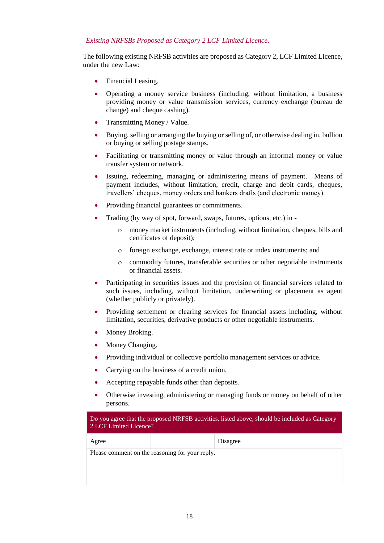#### *Existing NRFSBs Proposed as Category 2 LCF Limited Licence.*

The following existing NRFSB activities are proposed as Category 2, LCF Limited Licence, under the new Law:

- Financial Leasing.
- Operating a money service business (including, without limitation, a business providing money or value transmission services, currency exchange (bureau de change) and cheque cashing).
- Transmitting Money / Value.
- Buying, selling or arranging the buying or selling of, or otherwise dealing in, bullion or buying or selling postage stamps.
- Facilitating or transmitting money or value through an informal money or value transfer system or network.
- Issuing, redeeming, managing or administering means of payment. Means of payment includes, without limitation, credit, charge and debit cards, cheques, travellers' cheques, money orders and bankers drafts (and electronic money).
- Providing financial guarantees or commitments.
- Trading (by way of spot, forward, swaps, futures, options, etc.) in -
	- $\circ$  money market instruments (including, without limitation, cheques, bills and certificates of deposit);
	- o foreign exchange, exchange, interest rate or index instruments; and
	- o commodity futures, transferable securities or other negotiable instruments or financial assets.
- Participating in securities issues and the provision of financial services related to such issues, including, without limitation, underwriting or placement as agent (whether publicly or privately).
- Providing settlement or clearing services for financial assets including, without limitation, securities, derivative products or other negotiable instruments.
- Money Broking.
- Money Changing.
- Providing individual or collective portfolio management services or advice.
- Carrying on the business of a credit union.
- Accepting repayable funds other than deposits.
- Otherwise investing, administering or managing funds or money on behalf of other persons.

| Do you agree that the proposed NRFSB activities, listed above, should be included as Category<br>2 LCF Limited Licence? |          |  |  |  |
|-------------------------------------------------------------------------------------------------------------------------|----------|--|--|--|
| Agree                                                                                                                   | Disagree |  |  |  |
| Please comment on the reasoning for your reply.                                                                         |          |  |  |  |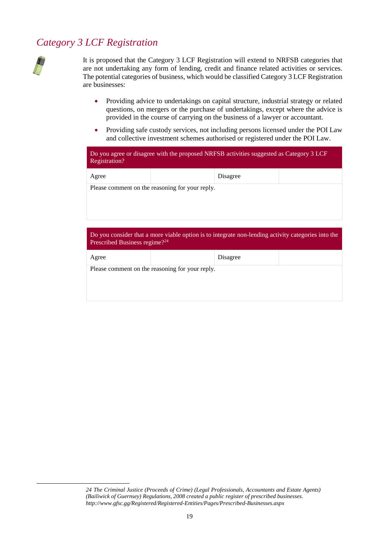## <span id="page-19-0"></span>*Category 3 LCF Registration*



1

It is proposed that the Category 3 LCF Registration will extend to NRFSB categories that are not undertaking any form of lending, credit and finance related activities or services. The potential categories of business, which would be classified Category 3 LCF Registration are businesses:

- Providing advice to undertakings on capital structure, industrial strategy or related questions, on mergers or the purchase of undertakings, except where the advice is provided in the course of carrying on the business of a lawyer or accountant.
- Providing safe custody services, not including persons licensed under the POI Law and collective investment schemes authorised or registered under the POI Law.

| Do you agree or disagree with the proposed NRFSB activities suggested as Category 3 LCF<br>Registration?                                        |  |          |  |  |
|-------------------------------------------------------------------------------------------------------------------------------------------------|--|----------|--|--|
| Agree                                                                                                                                           |  | Disagree |  |  |
| Please comment on the reasoning for your reply.                                                                                                 |  |          |  |  |
| Do you consider that a more viable option is to integrate non-lending activity categories into the<br>Prescribed Business regime? <sup>24</sup> |  |          |  |  |
| Agree                                                                                                                                           |  | Disagree |  |  |
| Please comment on the reasoning for your reply.                                                                                                 |  |          |  |  |

*<sup>24</sup> The Criminal Justice (Proceeds of Crime) (Legal Professionals, Accountants and Estate Agents) (Bailiwick of Guernsey) Regulations, 2008 created a public register of prescribed businesses. http://www.gfsc.gg/Registered/Registered-Entities/Pages/Prescribed-Businesses.aspx*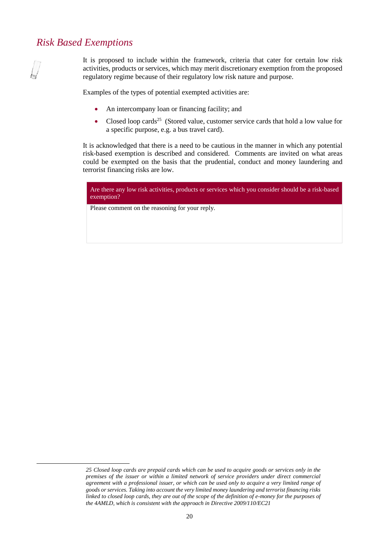### <span id="page-20-0"></span>*Risk Based Exemptions*

 $\overline{a}$ 

It is proposed to include within the framework, criteria that cater for certain low risk activities, products or services, which may merit discretionary exemption from the proposed regulatory regime because of their regulatory low risk nature and purpose.

Examples of the types of potential exempted activities are:

- An intercompany loan or financing facility; and
- Closed loop cards<sup>25</sup> (Stored value, customer service cards that hold a low value for a specific purpose, e.g. a bus travel card).

It is acknowledged that there is a need to be cautious in the manner in which any potential risk-based exemption is described and considered. Comments are invited on what areas could be exempted on the basis that the prudential, conduct and money laundering and terrorist financing risks are low.

Are there any low risk activities, products or services which you consider should be a risk-based exemption?

Please comment on the reasoning for your reply.

*<sup>25</sup> Closed loop cards are prepaid cards which can be used to acquire goods or services only in the premises of the issuer or within a limited network of service providers under direct commercial agreement with a professional issuer, or which can be used only to acquire a very limited range of goods or services. Taking into account the very limited money laundering and terrorist financing risks linked to closed loop cards, they are out of the scope of the definition of e-money for the purposes of the 4AMLD, which is consistent with the approach in Directive 2009/110/EC21*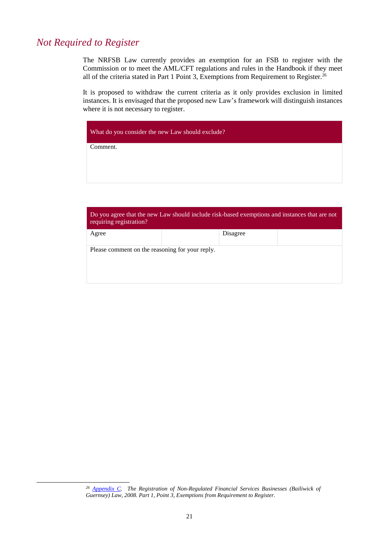### <span id="page-21-0"></span>*Not Required to Register*

-

The NRFSB Law currently provides an exemption for an FSB to register with the Commission or to meet the AML/CFT regulations and rules in the Handbook if they meet all of the criteria stated in Part 1 Point 3, Exemptions from Requirement to Register.<sup>26</sup>

It is proposed to withdraw the current criteria as it only provides exclusion in limited instances. It is envisaged that the proposed new Law's framework will distinguish instances where it is not necessary to register.

| What do you consider the new Law should exclude? |
|--------------------------------------------------|
| Comment.                                         |
|                                                  |
|                                                  |

| Do you agree that the new Law should include risk-based exemptions and instances that are not<br>requiring registration? |  |          |  |  |
|--------------------------------------------------------------------------------------------------------------------------|--|----------|--|--|
| Agree                                                                                                                    |  | Disagree |  |  |
| Please comment on the reasoning for your reply.                                                                          |  |          |  |  |

*<sup>26</sup> [Appendix C.](#page-32-0) The Registration of Non-Regulated Financial Services Businesses (Bailiwick of Guernsey) Law, 2008. Part 1, Point 3, Exemptions from Requirement to Register.*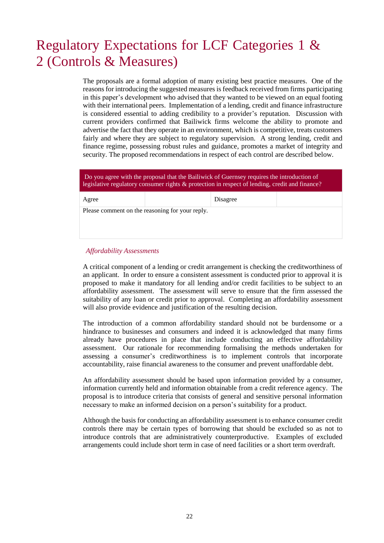# <span id="page-22-0"></span>Regulatory Expectations for LCF Categories 1 & 2 (Controls & Measures)

The proposals are a formal adoption of many existing best practice measures. One of the reasons for introducing the suggested measures is feedback received from firms participating in this paper's development who advised that they wanted to be viewed on an equal footing with their international peers. Implementation of a lending, credit and finance infrastructure is considered essential to adding credibility to a provider's reputation. Discussion with current providers confirmed that Bailiwick firms welcome the ability to promote and advertise the fact that they operate in an environment, which is competitive, treats customers fairly and where they are subject to regulatory supervision. A strong lending, credit and finance regime, possessing robust rules and guidance, promotes a market of integrity and security. The proposed recommendations in respect of each control are described below.

|                                                 | Do you agree with the proposal that the Bailiwick of Guernsey requires the introduction of<br>legislative regulatory consumer rights & protection in respect of lending, credit and finance? |  |
|-------------------------------------------------|----------------------------------------------------------------------------------------------------------------------------------------------------------------------------------------------|--|
| Agree                                           | Disagree                                                                                                                                                                                     |  |
| Please comment on the reasoning for your reply. |                                                                                                                                                                                              |  |

#### *Affordability Assessments*

A critical component of a lending or credit arrangement is checking the creditworthiness of an applicant. In order to ensure a consistent assessment is conducted prior to approval it is proposed to make it mandatory for all lending and/or credit facilities to be subject to an affordability assessment. The assessment will serve to ensure that the firm assessed the suitability of any loan or credit prior to approval. Completing an affordability assessment will also provide evidence and justification of the resulting decision.

The introduction of a common affordability standard should not be burdensome or a hindrance to businesses and consumers and indeed it is acknowledged that many firms already have procedures in place that include conducting an effective affordability assessment. Our rationale for recommending formalising the methods undertaken for assessing a consumer's creditworthiness is to implement controls that incorporate accountability, raise financial awareness to the consumer and prevent unaffordable debt.

An affordability assessment should be based upon information provided by a consumer, information currently held and information obtainable from a credit reference agency. The proposal is to introduce criteria that consists of general and sensitive personal information necessary to make an informed decision on a person's suitability for a product.

Although the basis for conducting an affordability assessment is to enhance consumer credit controls there may be certain types of borrowing that should be excluded so as not to introduce controls that are administratively counterproductive. Examples of excluded arrangements could include short term in case of need facilities or a short term overdraft.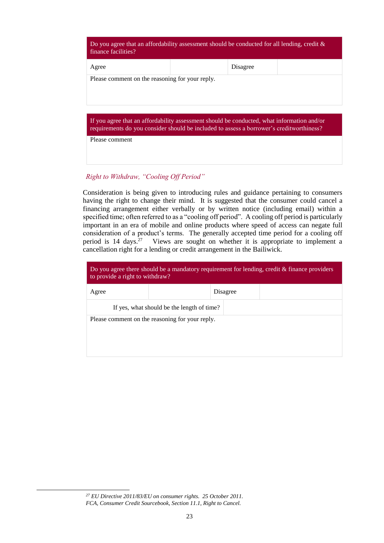| finance facilities?                             | Do you agree that an affordability assessment should be conducted for all lending, credit $\&$                                                                                         |  |
|-------------------------------------------------|----------------------------------------------------------------------------------------------------------------------------------------------------------------------------------------|--|
| Agree                                           | Disagree                                                                                                                                                                               |  |
| Please comment on the reasoning for your reply. |                                                                                                                                                                                        |  |
|                                                 | If you agree that an affordability assessment should be conducted, what information and/or<br>requirements do you consider should be included to assess a borrower's creditworthiness? |  |
| Please comment                                  |                                                                                                                                                                                        |  |

#### *Right to Withdraw, "Cooling Off Period"*

Consideration is being given to introducing rules and guidance pertaining to consumers having the right to change their mind. It is suggested that the consumer could cancel a financing arrangement either verbally or by written notice (including email) within a specified time; often referred to as a "cooling off period". A cooling off period is particularly important in an era of mobile and online products where speed of access can negate full consideration of a product's terms. The generally accepted time period for a cooling off period is 14 days. 27 Views are sought on whether it is appropriate to implement a cancellation right for a lending or credit arrangement in the Bailiwick.

| to provide a right to withdraw? |                                                 |          | Do you agree there should be a mandatory requirement for lending, credit $\&$ finance providers |
|---------------------------------|-------------------------------------------------|----------|-------------------------------------------------------------------------------------------------|
| Agree                           |                                                 | Disagree |                                                                                                 |
|                                 | If yes, what should be the length of time?      |          |                                                                                                 |
|                                 | Please comment on the reasoning for your reply. |          |                                                                                                 |

-

*<sup>27</sup> EU Directive 2011/83/EU on consumer rights. 25 October 2011. FCA, Consumer Credit Sourcebook, Section 11.1, Right to Cancel.*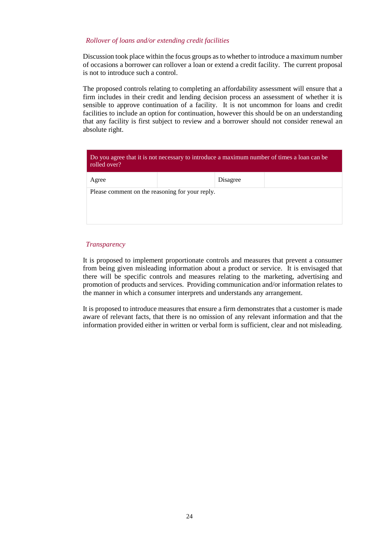#### *Rollover of loans and/or extending credit facilities*

Discussion took place within the focus groups as to whether to introduce a maximum number of occasions a borrower can rollover a loan or extend a credit facility. The current proposal is not to introduce such a control.

The proposed controls relating to completing an affordability assessment will ensure that a firm includes in their credit and lending decision process an assessment of whether it is sensible to approve continuation of a facility. It is not uncommon for loans and credit facilities to include an option for continuation, however this should be on an understanding that any facility is first subject to review and a borrower should not consider renewal an absolute right.

| Do you agree that it is not necessary to introduce a maximum number of times a loan can be<br>rolled over? |          |  |
|------------------------------------------------------------------------------------------------------------|----------|--|
| Agree                                                                                                      | Disagree |  |
| Please comment on the reasoning for your reply.                                                            |          |  |

#### *Transparency*

It is proposed to implement proportionate controls and measures that prevent a consumer from being given misleading information about a product or service. It is envisaged that there will be specific controls and measures relating to the marketing, advertising and promotion of products and services. Providing communication and/or information relates to the manner in which a consumer interprets and understands any arrangement.

It is proposed to introduce measures that ensure a firm demonstrates that a customer is made aware of relevant facts, that there is no omission of any relevant information and that the information provided either in written or verbal form is sufficient, clear and not misleading.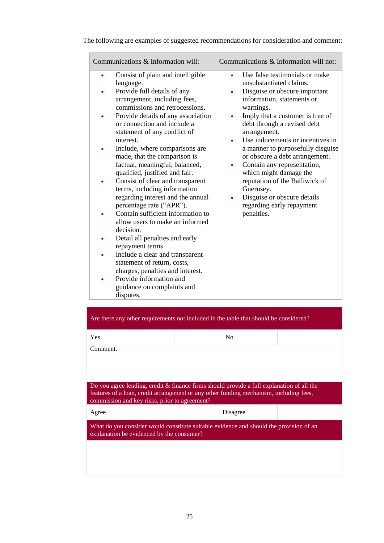### The following are examples of suggested recommendations for consideration and comment:

| Communications & Information will:                                                                                                                                                                                                                                                                                                                                                                                                                                                                                                                                                                                                                                                                                                                                                                                                                                  | Communications & Information will not:                                                                                                                                                                                                                                                                                                                                                                                                                                                                                                          |
|---------------------------------------------------------------------------------------------------------------------------------------------------------------------------------------------------------------------------------------------------------------------------------------------------------------------------------------------------------------------------------------------------------------------------------------------------------------------------------------------------------------------------------------------------------------------------------------------------------------------------------------------------------------------------------------------------------------------------------------------------------------------------------------------------------------------------------------------------------------------|-------------------------------------------------------------------------------------------------------------------------------------------------------------------------------------------------------------------------------------------------------------------------------------------------------------------------------------------------------------------------------------------------------------------------------------------------------------------------------------------------------------------------------------------------|
| Consist of plain and intelligible<br>language.<br>Provide full details of any<br>arrangement, including fees,<br>commissions and retrocessions.<br>Provide details of any association<br>or connection and include a<br>statement of any conflict of<br>interest.<br>Include, where comparisons are<br>made, that the comparison is<br>factual, meaningful, balanced,<br>qualified, justified and fair.<br>Consist of clear and transparent<br>terms, including information<br>regarding interest and the annual<br>percentage rate ("APR").<br>Contain sufficient information to<br>allow users to make an informed<br>decision.<br>Detail all penalties and early<br>repayment terms.<br>Include a clear and transparent<br>statement of return, costs,<br>charges, penalties and interest.<br>Provide information and<br>guidance on complaints and<br>disputes. | Use false testimonials or make<br>$\bullet$<br>unsubstantiated claims.<br>Disguise or obscure important<br>information, statements or<br>warnings.<br>Imply that a customer is free of<br>$\bullet$<br>debt through a revised debt<br>arrangement.<br>Use inducements or incentives in<br>a manner to purposefully disguise<br>or obscure a debt arrangement.<br>Contain any representation,<br>which might damage the<br>reputation of the Bailiwick of<br>Guernsey.<br>Disguise or obscure details<br>regarding early repayment<br>penalties. |

| Are there any other requirements not included in the table that should be considered?                                                                                                                                                |                |  |
|--------------------------------------------------------------------------------------------------------------------------------------------------------------------------------------------------------------------------------------|----------------|--|
| Yes                                                                                                                                                                                                                                  | N <sub>0</sub> |  |
| Comment.                                                                                                                                                                                                                             |                |  |
| Do you agree lending, credit & finance firms should provide a full explanation of all the<br>features of a loan, credit arrangement or any other funding mechanism, including fees,<br>commission and key risks, prior to agreement? |                |  |
| Agree                                                                                                                                                                                                                                | Disagree       |  |
| What do you consider would constitute suitable evidence and should the provision of an<br>explanation be evidenced by the consumer?                                                                                                  |                |  |
|                                                                                                                                                                                                                                      |                |  |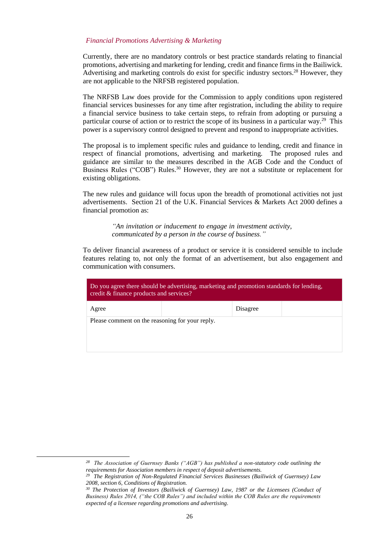#### *Financial Promotions Advertising & Marketing*

Currently, there are no mandatory controls or best practice standards relating to financial promotions, advertising and marketing for lending, credit and finance firms in the Bailiwick. Advertising and marketing controls do exist for specific industry sectors.<sup>28</sup> However, they are not applicable to the NRFSB registered population.

The NRFSB Law does provide for the Commission to apply conditions upon registered financial services businesses for any time after registration, including the ability to require a financial service business to take certain steps, to refrain from adopting or pursuing a particular course of action or to restrict the scope of its business in a particular way.<sup>29</sup> This power is a supervisory control designed to prevent and respond to inappropriate activities.

The proposal is to implement specific rules and guidance to lending, credit and finance in respect of financial promotions, advertising and marketing. The proposed rules and guidance are similar to the measures described in the AGB Code and the Conduct of Business Rules ("COB") Rules.<sup>30</sup> However, they are not a substitute or replacement for existing obligations.

The new rules and guidance will focus upon the breadth of promotional activities not just advertisements. Section 21 of the U.K. Financial Services & Markets Act 2000 defines a financial promotion as:

> *"An invitation or inducement to engage in investment activity, communicated by a person in the course of business."*

To deliver financial awareness of a product or service it is considered sensible to include features relating to, not only the format of an advertisement, but also engagement and communication with consumers.

| Do you agree there should be advertising, marketing and promotion standards for lending,<br>credit & finance products and services? |          |  |
|-------------------------------------------------------------------------------------------------------------------------------------|----------|--|
| Agree                                                                                                                               | Disagree |  |
| Please comment on the reasoning for your reply.                                                                                     |          |  |

-

*<sup>28</sup> The Association of Guernsey Banks ("AGB") has published a non-statutory code outlining the* 

*requirements for Association members in respect of deposit advertisements. 29 The Registration of Non-Regulated Financial Services Businesses (Bailiwick of Guernsey) Law 2008, section 6, Conditions of Registration.*

*<sup>30</sup> The Protection of Investors (Bailiwick of Guernsey) Law, 1987 or the Licensees (Conduct of Business) Rules 2014, ("the COB Rules") and included within the COB Rules are the requirements expected of a licensee regarding promotions and advertising.*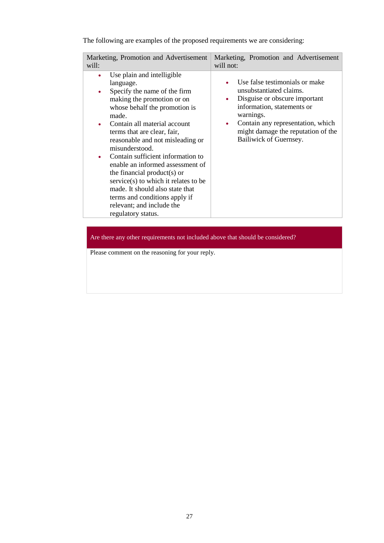The following are examples of the proposed requirements we are considering:

| Marketing, Promotion and Advertisement                                                                                                                                                                                                                                                                                                                                                                                                                                                                                                                         | Marketing, Promotion and Advertisement                                                                                                                                                                                                     |
|----------------------------------------------------------------------------------------------------------------------------------------------------------------------------------------------------------------------------------------------------------------------------------------------------------------------------------------------------------------------------------------------------------------------------------------------------------------------------------------------------------------------------------------------------------------|--------------------------------------------------------------------------------------------------------------------------------------------------------------------------------------------------------------------------------------------|
| will:                                                                                                                                                                                                                                                                                                                                                                                                                                                                                                                                                          | will not:                                                                                                                                                                                                                                  |
| Use plain and intelligible<br>$\bullet$<br>language.<br>Specify the name of the firm<br>making the promotion or on<br>whose behalf the promotion is<br>made.<br>Contain all material account<br>terms that are clear, fair,<br>reasonable and not misleading or<br>misunderstood.<br>Contain sufficient information to<br>enable an informed assessment of<br>the financial product(s) or<br>$s$ ervice $(s)$ to which it relates to be<br>made. It should also state that<br>terms and conditions apply if<br>relevant; and include the<br>regulatory status. | Use false testimonials or make<br>unsubstantiated claims.<br>Disguise or obscure important<br>information, statements or<br>warnings.<br>Contain any representation, which<br>might damage the reputation of the<br>Bailiwick of Guernsey. |

Are there any other requirements not included above that should be considered?

Please comment on the reasoning for your reply.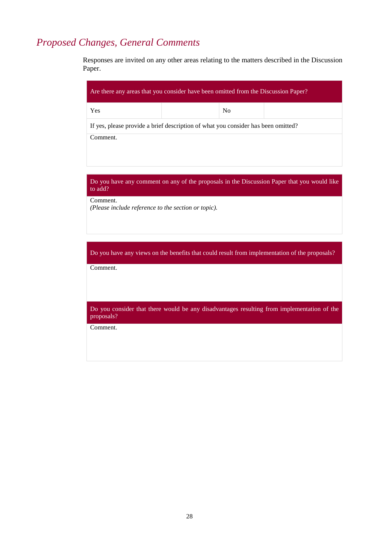## <span id="page-28-0"></span>*Proposed Changes, General Comments*

Responses are invited on any other areas relating to the matters described in the Discussion Paper.

|            | Are there any areas that you consider have been omitted from the Discussion Paper? |  |
|------------|------------------------------------------------------------------------------------|--|
| <b>Yes</b> | No                                                                                 |  |
|            | If yes, please provide a brief description of what you consider has been omitted?  |  |
| Comment.   |                                                                                    |  |
|            |                                                                                    |  |
|            |                                                                                    |  |

Do you have any comment on any of the proposals in the Discussion Paper that you would like to add?

Comment.

*(Please include reference to the section or topic).*

Do you have any views on the benefits that could result from implementation of the proposals?

Comment.

Do you consider that there would be any disadvantages resulting from implementation of the proposals?

Comment.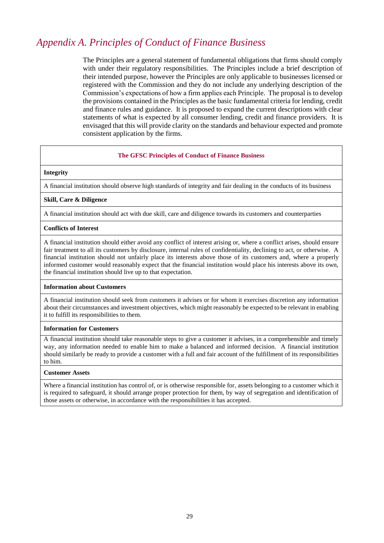### <span id="page-29-0"></span>*Appendix A. Principles of Conduct of Finance Business*

The Principles are a general statement of fundamental obligations that firms should comply with under their regulatory responsibilities. The Principles include a brief description of their intended purpose, however the Principles are only applicable to businesses licensed or registered with the Commission and they do not include any underlying description of the Commission's expectations of how a firm applies each Principle. The proposal is to develop the provisions contained in the Principles as the basic fundamental criteria for lending, credit and finance rules and guidance. It is proposed to expand the current descriptions with clear statements of what is expected by all consumer lending, credit and finance providers. It is envisaged that this will provide clarity on the standards and behaviour expected and promote consistent application by the firms.

#### **The GFSC Principles of Conduct of Finance Business**

**Integrity**

A financial institution should observe high standards of integrity and fair dealing in the conducts of its business

#### **Skill, Care & Diligence**

A financial institution should act with due skill, care and diligence towards its customers and counterparties

#### **Conflicts of Interest**

A financial institution should either avoid any conflict of interest arising or, where a conflict arises, should ensure fair treatment to all its customers by disclosure, internal rules of confidentiality, declining to act, or otherwise. A financial institution should not unfairly place its interests above those of its customers and, where a properly informed customer would reasonably expect that the financial institution would place his interests above its own, the financial institution should live up to that expectation.

#### **Information about Customers**

A financial institution should seek from customers it advises or for whom it exercises discretion any information about their circumstances and investment objectives, which might reasonably be expected to be relevant in enabling it to fulfill its responsibilities to them.

#### **Information for Customers**

A financial institution should take reasonable steps to give a customer it advises, in a comprehensible and timely way, any information needed to enable him to make a balanced and informed decision. A financial institution should similarly be ready to provide a customer with a full and fair account of the fulfillment of its responsibilities to him.

#### **Customer Assets**

Where a financial institution has control of, or is otherwise responsible for, assets belonging to a customer which it is required to safeguard, it should arrange proper protection for them, by way of segregation and identification of those assets or otherwise, in accordance with the responsibilities it has accepted.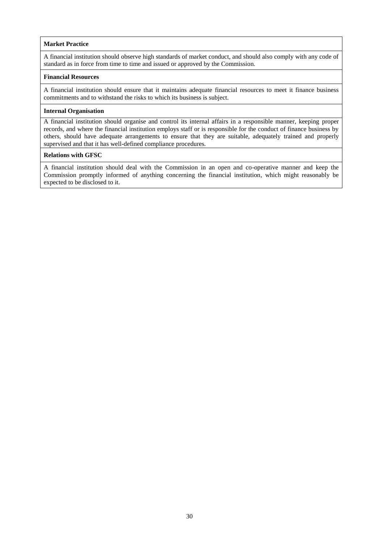#### **Market Practice**

A financial institution should observe high standards of market conduct, and should also comply with any code of standard as in force from time to time and issued or approved by the Commission.

#### **Financial Resources**

A financial institution should ensure that it maintains adequate financial resources to meet it finance business commitments and to withstand the risks to which its business is subject.

#### **Internal Organisation**

A financial institution should organise and control its internal affairs in a responsible manner, keeping proper records, and where the financial institution employs staff or is responsible for the conduct of finance business by others, should have adequate arrangements to ensure that they are suitable, adequately trained and properly supervised and that it has well-defined compliance procedures.

#### **Relations with GFSC**

A financial institution should deal with the Commission in an open and co-operative manner and keep the Commission promptly informed of anything concerning the financial institution, which might reasonably be expected to be disclosed to it.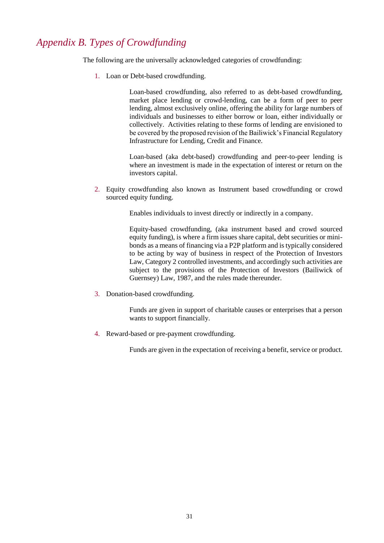### <span id="page-31-0"></span>*Appendix B. Types of Crowdfunding*

The following are the universally acknowledged categories of crowdfunding:

1. Loan or Debt-based crowdfunding.

Loan-based crowdfunding, also referred to as debt-based crowdfunding, market place lending or crowd-lending, can be a form of peer to peer lending, almost exclusively online, offering the ability for large numbers of individuals and businesses to either borrow or loan, either individually or collectively. Activities relating to these forms of lending are envisioned to be covered by the proposed revision of the Bailiwick's Financial Regulatory Infrastructure for Lending, Credit and Finance.

Loan-based (aka debt-based) crowdfunding and peer-to-peer lending is where an investment is made in the expectation of interest or return on the investors capital.

2. Equity crowdfunding also known as Instrument based crowdfunding or crowd sourced equity funding.

Enables individuals to invest directly or indirectly in a company.

Equity-based crowdfunding, (aka instrument based and crowd sourced equity funding), is where a firm issues share capital, debt securities or minibonds as a means of financing via a P2P platform and is typically considered to be acting by way of business in respect of the Protection of Investors Law, Category 2 controlled investments, and accordingly such activities are subject to the provisions of the Protection of Investors (Bailiwick of Guernsey) Law, 1987, and the rules made thereunder.

3. Donation-based crowdfunding.

Funds are given in support of charitable causes or enterprises that a person wants to support financially.

4. Reward-based or pre-payment crowdfunding.

Funds are given in the expectation of receiving a benefit, service or product.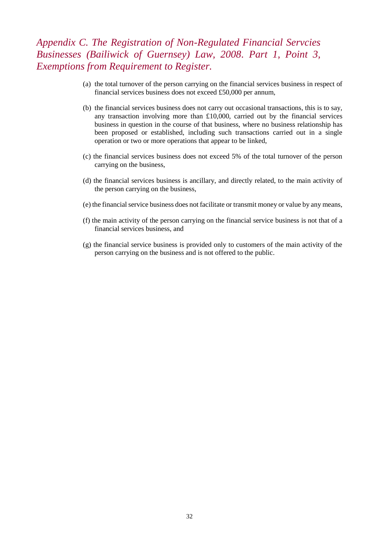### <span id="page-32-0"></span>*Appendix C. The Registration of Non-Regulated Financial Servcies Businesses (Bailiwick of Guernsey) Law, 2008. Part 1, Point 3, Exemptions from Requirement to Register.*

- (a) the total turnover of the person carrying on the financial services business in respect of financial services business does not exceed £50,000 per annum,
- (b) the financial services business does not carry out occasional transactions, this is to say, any transaction involving more than £10,000, carried out by the financial services business in question in the course of that business, where no business relationship has been proposed or established, including such transactions carried out in a single operation or two or more operations that appear to be linked,
- (c) the financial services business does not exceed 5% of the total turnover of the person carrying on the business,
- (d) the financial services business is ancillary, and directly related, to the main activity of the person carrying on the business,
- (e) the financial service business does not facilitate or transmit money or value by any means,
- (f) the main activity of the person carrying on the financial service business is not that of a financial services business, and
- (g) the financial service business is provided only to customers of the main activity of the person carrying on the business and is not offered to the public.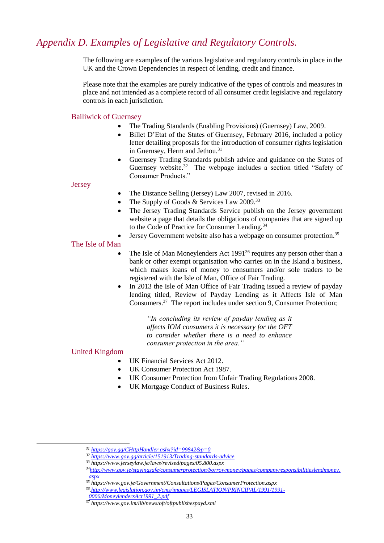### <span id="page-33-0"></span>*Appendix D. Examples of Legislative and Regulatory Controls.*

The following are examples of the various legislative and regulatory controls in place in the UK and the Crown Dependencies in respect of lending, credit and finance.

Please note that the examples are purely indicative of the types of controls and measures in place and not intended as a complete record of all consumer credit legislative and regulatory controls in each jurisdiction.

#### Bailiwick of Guernsey

- The Trading Standards (Enabling Provisions) (Guernsey) Law, 2009.
- Billet D'Etat of the States of Guernsey, February 2016, included a policy letter detailing proposals for the introduction of consumer rights legislation in Guernsey, Herm and Jethou.<sup>31</sup>
- Guernsey Trading Standards publish advice and guidance on the States of Guernsey website.<sup>32</sup> The webpage includes a section titled "Safety of Consumer Products."

**Jersey** 

- The Distance Selling (Jersey) Law 2007, revised in 2016.
- The Supply of Goods & Services Law 2009.<sup>33</sup>
- The Jersey Trading Standards Service publish on the Jersey government website a page that details the obligations of companies that are signed up to the Code of Practice for Consumer Lending.<sup>34</sup>
	- Jersey Government website also has a webpage on consumer protection.<sup>35</sup>

#### The Isle of Man

- The Isle of Man Moneylenders Act 1991<sup>36</sup> requires any person other than a bank or other exempt organisation who carries on in the Island a business, which makes loans of money to consumers and/or sole traders to be registered with the Isle of Man, Office of Fair Trading.
- In 2013 the Isle of Man Office of Fair Trading issued a review of payday lending titled, Review of Payday Lending as it Affects Isle of Man Consumers.<sup>37</sup> The report includes under section 9, Consumer Protection;

*"In concluding its review of payday lending as it affects IOM consumers it is necessary for the OFT to consider whether there is a need to enhance consumer protection in the area."*

#### United Kingdom

 $\overline{a}$ 

- UK Financial Services Act 2012.
- UK Consumer Protection Act 1987.
- UK Consumer Protection from Unfair Trading Regulations 2008.
- UK Mortgage Conduct of Business Rules.

*<sup>31</sup> <https://gov.gg/CHttpHandler.ashx?id=99842&p=0>*

*<sup>32</sup> <https://www.gov.gg/article/151913/Trading-standards-advice>*

*<sup>33</sup> https://www.jerseylaw.je/laws/revised/pages/05.800.aspx*

*<sup>34</sup>[http://www.gov.je/stayingsafe/consumerprotection/borrowmoney/pages/companyresponsibilitieslendmoney.](http://www.gov.je/stayingsafe/consumerprotection/borrowmoney/pages/companyresponsibilitieslendmoney.aspx) [aspx](http://www.gov.je/stayingsafe/consumerprotection/borrowmoney/pages/companyresponsibilitieslendmoney.aspx)*

*<sup>35</sup> https://www.gov.je/Government/Consultations/Pages/ConsumerProtection.aspx*

*<sup>36</sup> [.http://www.legislation.gov.im/cms/images/LEGISLATION/PRINCIPAL/1991/1991-](http://www.legislation.gov.im/cms/images/LEGISLATION/PRINCIPAL/1991/1991-0006/MoneylendersAct1991_2.pdf)*

*[<sup>0006/</sup>MoneylendersAct1991\\_2.pdf](http://www.legislation.gov.im/cms/images/LEGISLATION/PRINCIPAL/1991/1991-0006/MoneylendersAct1991_2.pdf)*

*<sup>37</sup> https://www.gov.im/lib/news/oft/oftpublishespayd.xml*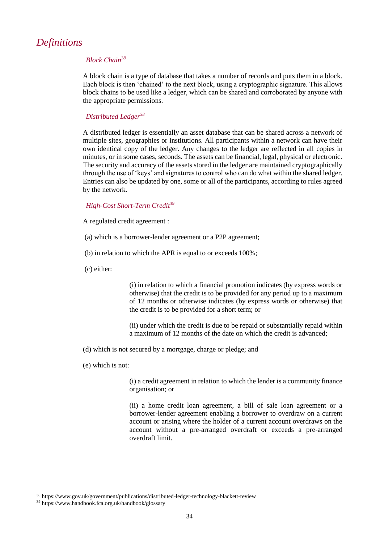### <span id="page-34-0"></span>*Definitions*

#### <span id="page-34-1"></span>*Block Chain<sup>38</sup>*

A block chain is a type of database that takes a number of records and puts them in a block. Each block is then 'chained' to the next block, using a cryptographic signature. This allows block chains to be used like a ledger, which can be shared and corroborated by anyone with the appropriate permissions.

#### *Distributed Ledger[38](#page-34-1)*

A distributed ledger is essentially an asset database that can be shared across a network of multiple sites, geographies or institutions. All participants within a network can have their own identical copy of the ledger. Any changes to the ledger are reflected in all copies in minutes, or in some cases, seconds. The assets can be financial, legal, physical or electronic. The security and accuracy of the assets stored in the ledger are maintained cryptographically through the use of 'keys' and signatures to control who can do what within the shared ledger. Entries can also be updated by one, some or all of the participants, according to rules agreed by the network.

#### *High-Cost Short-Term Credit<sup>39</sup>*

A regulated credit agreement :

- (a) which is a borrower-lender agreement or a P2P agreement;
- (b) in relation to which the APR is equal to or exceeds 100%;
- (c) either:

(i) in relation to which a financial promotion indicates (by express words or otherwise) that the credit is to be provided for any period up to a maximum of 12 months or otherwise indicates (by express words or otherwise) that the credit is to be provided for a short term; or

(ii) under which the credit is due to be repaid or substantially repaid within a maximum of 12 months of the date on which the credit is advanced;

- (d) which is not secured by a mortgage, charge or pledge; and
- (e) which is not:

(i) a credit agreement in relation to which the lender is a community finance organisation; or

(ii) a home credit loan agreement, a bill of sale loan agreement or a borrower-lender agreement enabling a borrower to overdraw on a current account or arising where the holder of a current account overdraws on the account without a pre-arranged overdraft or exceeds a pre-arranged overdraft limit.

-

<sup>38</sup> https://www.gov.uk/government/publications/distributed-ledger-technology-blackett-review

<sup>39</sup> https://www.handbook.fca.org.uk/handbook/glossary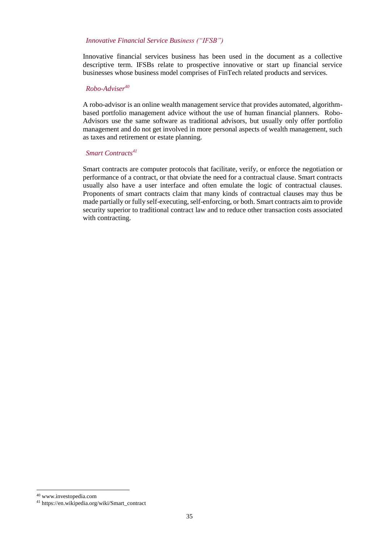#### *Innovative Financial Service Business ("IFSB")*

Innovative financial services business has been used in the document as a collective descriptive term. IFSBs relate to prospective innovative or start up financial service businesses whose business model comprises of FinTech related products and services.

#### *Robo-Adviser<sup>40</sup>*

A robo-advisor is an online wealth management service that provides automated, algorithmbased portfolio management advice without the use of human financial planners. Robo-Advisors use the same software as traditional advisors, but usually only offer portfolio management and do not get involved in more personal aspects of wealth management, such as taxes and retirement or estate planning.

#### *Smart Contracts<sup>41</sup>*

Smart contracts are computer protocols that facilitate, verify, or enforce the negotiation or performance of a contract, or that obviate the need for a contractual clause. Smart contracts usually also have a user interface and often emulate the logic of contractual clauses. Proponents of smart contracts claim that many kinds of contractual clauses may thus be made partially or fully self-executing, self-enforcing, or both. Smart contracts aim to provide security superior to traditional contract law and to reduce other transaction costs associated with contracting.

-

<sup>40</sup> www.investopedia.com

<sup>41</sup> https://en.wikipedia.org/wiki/Smart\_contract